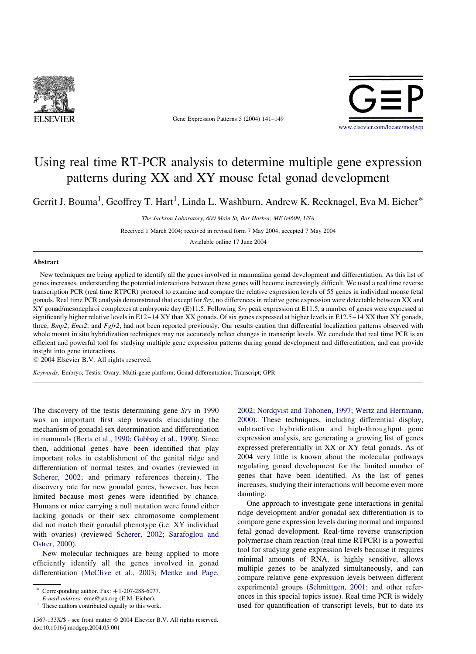

Gene Expression Patterns 5 (2004) 141–149



# Using real time RT-PCR analysis to determine multiple gene expression patterns during XX and XY mouse fetal gonad development

Gerrit J. Bouma<sup>1</sup>, Geoffrey T. Hart<sup>1</sup>, Linda L. Washburn, Andrew K. Recknagel, Eva M. Eicher<sup>\*</sup>

The Jackson Laboratory, 600 Main St, Bar Harbor, ME 04609, USA

Received 1 March 2004; received in revised form 7 May 2004; accepted 7 May 2004

Available online 17 June 2004

# Abstract

New techniques are being applied to identify all the genes involved in mammalian gonad development and differentiation. As this list of genes increases, understanding the potential interactions between these genes will become increasingly difficult. We used a real time reverse transcription PCR (real time RTPCR) protocol to examine and compare the relative expression levels of 55 genes in individual mouse fetal gonads. Real time PCR analysis demonstrated that except for Sry, no differences in relative gene expression were detectable between XX and XY gonad/mesonephroi complexes at embryonic day (E)11.5. Following Sry peak expression at E11.5, a number of genes were expressed at significantly higher relative levels in E12–14 XY than XX gonads. Of six genes expressed at higher levels in E12.5–14 XX than XY gonads, three, Bmp2, Emx2, and Fgfr2, had not been reported previously. Our results caution that differential localization patterns observed with whole mount in situ hybridization techniques may not accurately reflect changes in transcript levels. We conclude that real time PCR is an efficient and powerful tool for studying multiple gene expression patterns during gonad development and differentiation, and can provide insight into gene interactions.

 $©$  2004 Elsevier B.V. All rights reserved.

Keywords: Embryo; Testis; Ovary; Multi-gene platform; Gonad differentiation; Transcript; GPR

The discovery of the testis determining gene Sry in 1990 was an important first step towards elucidating the mechanism of gonadal sex determination and differentiation in mammals ([Berta et al., 1990; Gubbay et al., 1990\)](#page-7-0). Since then, additional genes have been identified that play important roles in establishment of the genital ridge and differentiation of normal testes and ovaries (reviewed in [Scherer, 2002](#page-8-0); and primary references therein). The discovery rate for new gonadal genes, however, has been limited because most genes were identified by chance. Humans or mice carrying a null mutation were found either lacking gonads or their sex chromosome complement did not match their gonadal phenotype (i.e. XY individual with ovaries) (reviewed [Scherer, 2002; Sarafoglou and](#page-8-0) [Ostrer, 2000\)](#page-8-0).

New molecular techniques are being applied to more efficiently identify all the genes involved in gonad differentiation [\(McClive et al., 2003; Menke and Page,](#page-8-0)

1567-133X/\$ - see front matter © 2004 Elsevier B.V. All rights reserved. doi:10.1016/j.modgep.2004.05.001

[2002; Nordqvist and Tohonen, 1997; Wertz and Herrmann,](#page-8-0) [2000](#page-8-0)). These techniques, including differential display, subtractive hybridization and high-throughput gene expression analysis, are generating a growing list of genes expressed preferentially in XX or XY fetal gonads. As of 2004 very little is known about the molecular pathways regulating gonad development for the limited number of genes that have been identified. As the list of genes increases, studying their interactions will become even more daunting.

One approach to investigate gene interactions in genital ridge development and/or gonadal sex differentiation is to compare gene expression levels during normal and impaired fetal gonad development. Real-time reverse transcription polymerase chain reaction (real time RTPCR) is a powerful tool for studying gene expression levels because it requires minimal amounts of RNA, is highly sensitive, allows multiple genes to be analyzed simultaneously, and can compare relative gene expression levels between different experimental groups ([Schmittgen, 2001;](#page-8-0) and other references in this special topics issue). Real time PCR is widely used for quantification of transcript levels, but to date its

Corresponding author. Fax:  $+1-207-288-6077$ .

E-mail address: eme@jax.org (E.M. Eicher).

 $<sup>1</sup>$  These authors contributed equally to this work.</sup>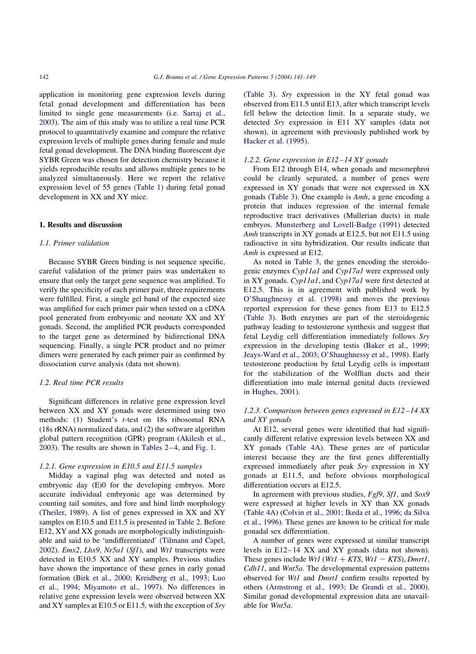application in monitoring gene expression levels during fetal gonad development and differentiation has been limited to single gene measurements (i.e. [Sarraj et al.,](#page-8-0) [2003\)](#page-8-0). The aim of this study was to utilize a real time PCR protocol to quantitatively examine and compare the relative expression levels of multiple genes during female and male fetal gonad development. The DNA binding fluorescent dye SYBR Green was chosen for detection chemistry because it yields reproducible results and allows multiple genes to be analyzed simultaneously. Here we report the relative expression level of 55 genes ([Table 1](#page-2-0)) during fetal gonad development in XX and XY mice.

# 1. Results and discussion

# 1.1. Primer validation

Because SYBR Green binding is not sequence specific, careful validation of the primer pairs was undertaken to ensure that only the target gene sequence was amplified. To verify the specificity of each primer pair, three requirements were fulfilled. First, a single gel band of the expected size was amplified for each primer pair when tested on a cDNA pool generated from embryonic and neonate XX and XY gonads. Second, the amplified PCR products corresponded to the target gene as determined by bidirectional DNA sequencing. Finally, a single PCR product and no primer dimers were generated by each primer pair as confirmed by dissociation curve analysis (data not shown).

#### 1.2. Real time PCR results

Significant differences in relative gene expression level between XX and XY gonads were determined using two methods: (1) Student's t-test on 18s ribosomal RNA (18s rRNA) normalized data, and (2) the software algorithm global pattern recognition (GPR) program [\(Akilesh et al.,](#page-7-0) [2003\)](#page-7-0). The results are shown in [Tables 2–4,](#page-3-0) and [Fig. 1.](#page-4-0)

## 1.2.1. Gene expression in E10.5 and E11.5 samples

Midday a vaginal plug was detected and noted as embryonic day (E)0 for the developing embryos. More accurate individual embryonic age was determined by counting tail somites, and fore and hind limb morphology ([Theiler, 1989](#page-8-0)). A list of genes expressed in XX and XY samples on E10.5 and E11.5 is presented in [Table 2](#page-3-0). Before E12, XY and XX gonads are morphologically indistinguishable and said to be 'undifferentiated' ([Tilmann and Capel,](#page-8-0) [2002\)](#page-8-0). Emx2, Lhx9, Nr5a1 (Sf1), and Wt1 transcripts were detected in E10.5 XX and XY samples. Previous studies have shown the importance of these genes in early gonad formation ([Birk et al., 2000; Kreidberg et al., 1993; Luo](#page-7-0) [et al., 1994; Miyamoto et al., 1997\)](#page-7-0). No differences in relative gene expression levels were observed between XX and XY samples at E10.5 or E11.5, with the exception of Sry ([Table 3\)](#page-3-0). Sry expression in the XY fetal gonad was observed from E11.5 until E13, after which transcript levels fell below the detection limit. In a separate study, we detected Sry expression in E11 XY samples (data not shown), in agreement with previously published work by [Hacker et al. \(1995\)](#page-8-0).

## 1.2.2. Gene expression in E12–14 XY gonads

From E12 through E14, when gonads and mesonephroi could be cleanly separated, a number of genes were expressed in XY gonads that were not expressed in XX gonads [\(Table 3](#page-3-0)). One example is Amh, a gene encoding a protein that induces regression of the internal female reproductive tract derivatives (Mullerian ducts) in male embryos. [Munsterberg and Lovell-Badge \(1991\)](#page-8-0) detected Amh transcripts in XY gonads at E12.5, but not E11.5 using radioactive in situ hybridization. Our results indicate that Amh is expressed at E12.

As noted in [Table 3,](#page-3-0) the genes encoding the steroidogenic enzymes Cyp11a1 and Cyp17a1 were expressed only in XY gonads. Cyp11a1, and Cyp17a1 were first detected at E12.5. This is in agreement with published work by [O'Shaughnessy et al. \(1998\)](#page-8-0) and moves the previous reported expression for these genes from E13 to E12.5 ([Table 3](#page-3-0)). Both enzymes are part of the steroidogenic pathway leading to testosterone synthesis and suggest that fetal Leydig cell differentiation immediately follows Sry expression in the developing testis ([Baker et al., 1999;](#page-7-0) [Jeays-Ward et al., 2003; O'Shaughnessy et al., 1998\)](#page-7-0). Early testosterone production by fetal Leydig cells is important for the stabilization of the Wolffian ducts and their differentiation into male internal genital ducts (reviewed in [Hughes, 2001](#page-8-0)).

# 1.2.3. Comparison between genes expressed in E12–14 XX and XY gonads

At E12, several genes were identified that had significantly different relative expression levels between XX and XY gonads [\(Table 4A](#page-4-0)). These genes are of particular interest because they are the first genes differentially expressed immediately after peak Sry expression in XY gonads at E11.5, and before obvious morphological differentiation occurs at E12.5.

In agreement with previous studies, Fgf9, Sf1, and Sox9 were expressed at higher levels in XY than XX gonads ([Table 4A\)](#page-4-0) [\(Colvin et al., 2001; Ikeda et al., 1996; da Silva](#page-8-0) [et al., 1996\)](#page-8-0). These genes are known to be critical for male gonadal sex differentiation.

A number of genes were expressed at similar transcript levels in E12–14 XX and XY gonads (data not shown). These genes include  $Wt1$  ( $Wt1 + KTS$ ,  $Wt1 - KTS$ ), Dmrt1, Cdh11, and Wnt5a. The developmental expression patterns observed for Wt1 and Dmrt1 confirm results reported by others ([Armstrong et al., 1993; De Grandi et al., 2000\)](#page-7-0). Similar gonad developmental expression data are unavailable for Wnt5a.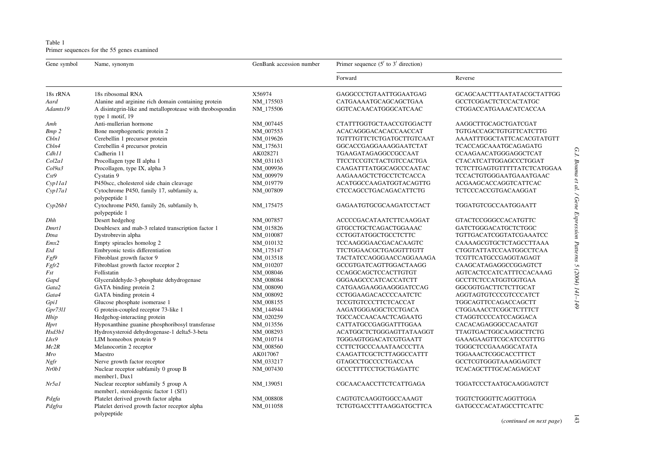<span id="page-2-0"></span>Table 1 Primer sequences for the 55 genes examined

| Gene symbol  | Name, synonym                                                                 | GenBank accession number | Primer sequence $(5'$ to $3'$ direction) |                               |
|--------------|-------------------------------------------------------------------------------|--------------------------|------------------------------------------|-------------------------------|
|              |                                                                               |                          | Forward                                  | Reverse                       |
| 18s rRNA     | 18s ribosomal RNA                                                             | X56974                   | GAGGCCCTGTAATTGGAATGAG                   | GCAGCAACTTTAATATACGCTATTGG    |
| Aard         | Alanine and arginine rich domain containing protein                           | NM_175503                | CATGAAAATGCAGCAGCTGAA                    | GCCTCGGACTCTCCACTATGC         |
| Adamts19     | A disintegrin-like and metalloprotease with throbospondin<br>type 1 motif, 19 | NM_175506                | GGTCACAACATGGGCATCAAC                    | CTGGACCATGAAACATCACCAA        |
| Amh          | Anti-mullerian hormone                                                        | NM 007445                | CTATTTGGTGCTAACCGTGGACTT                 | AAGGCTTGCAGCTGATCGAT          |
| <b>Bmp 2</b> | Bone morphogenetic protein 2                                                  | NM_007553                | ACACAGGGACACACCAACCAT                    | TGTGACCAGCTGTGTTCATCTTG       |
| Cbln1        | Cerebellin 1 precursor protein                                                | NM_019626                | TGTTTGTTCTCTGATGCTTGTCAAT                | AAAATTTGGCTATTCACACGTATGTT    |
| Cbln4        | Cerebellin 4 precursor protein                                                | NM_175631                | GGCACCGAGGAAAGGAATCTAT                   | TCACCAGCAAATGCAGAGATG         |
| Cdh11        | Cadherin 11                                                                   | AK028271                 | TGAAGATAGAGGCCGCCAAT                     | CCAAGAACATGGGAGGCTCAT         |
| Col2a1       | Procollagen type II alpha 1                                                   | NM 031163                | <b>TTCCTCCGTCTACTGTCCACTGA</b>           | CTACATCATTGGAGCCCTGGAT        |
| Col9a3       | Procollagen, type IX, alpha 3                                                 | NM 009936                | CAAGATTTATGGCAGCCCAATAC                  | TCTCTTGAGTGTTTTTATCTCATGGAA   |
| Cst9         | Cystatin 9                                                                    | NM_009979                | AAGAAAGCTCTGCCTCTCACCA                   | TCCACTGTGGGAATGAAATGAAC       |
| Cyp11a1      | P450scc, cholesterol side chain cleavage                                      | NM_019779                | ACATGGCCAAGATGGTACAGTTG                  | ACGAAGCACCAGGTCATTCAC         |
| CypI7aI      | Cytochrome P450, family 17, subfamily a,<br>polypeptide 1                     | NM_007809                | CTCCAGCCTGACAGACATTCTG                   | TCTCCCACCGTGACAAGGAT          |
| Cyp26b1      | Cytochrome P450, family 26, subfamily b,<br>polypeptide 1                     | NM 175475                | GAGAATGTGCGCAAGATCCTACT                  | TGGATGTCGCCAATGGAATT          |
| Dhh          | Desert hedgehog                                                               | NM_007857                | ACCCCGACATAATCTTCAAGGAT                  | <b>GTACTCCGGGCCACATGTTC</b>   |
| Dmrt1        | Doublesex and mab-3 related transcription factor 1                            | NM_015826                | GTGCCTGCTCAGACTGGAAAC                    | GATCTGGGACATGCTCTGGC          |
| Dtna         | Dystrobrevin alpha                                                            | NM_010087                | CCTGGTATGGCTGCCTCTTC                     | TGTTGACATCGGTATCGAAATCC       |
| Emx2         | Empty spiracles homolog 2                                                     | NM 010132                | TCCAAGGGAACGACACAAGTC                    | CAAAAGCGTGCTCTAGCCTTAAA       |
| Etd          | Embryonic testis differentiation                                              | NM_175147                | TTCTGGAACGCTGAGGTTTGTT                   | CTGGTATTATCCAATGGCCTCAA       |
| Fgf9         | Fibroblast growth factor 9                                                    | NM 013518                | TACTATCCAGGGAACCAGGAAAGA                 | TCGTTCATGCCGAGGTAGAGT         |
| Fgfr2        | Fibroblast growth factor receptor 2                                           | NM_010207                | GCCGTGATCAGTTGGACTAAGG                   | CAAGCATAGAGGCCGGAGTCT         |
| Fst          | Follistatin                                                                   | NM_008046                | CCAGGCAGCTCCACTTGTGT                     | AGTCACTCCATCATTTCCACAAAG      |
| Gapd         | Glyceraldehyde-3-phosphate dehydrogenase                                      | NM_008084                | GGGAAGCCCATCACCATCTT                     | GCCTTCTCCATGGTGGTGAA          |
| Gata2        | GATA binding protein 2                                                        | NM 008090                | CATGAAGAAGGAAGGGATCCAG                   | GGCGGTGACTTCTCTTGCAT          |
| Gata4        | GATA binding protein 4                                                        | NM_008092                | CCTGGAAGACACCCCAATCTC                    | AGGTAGTGTCCCGTCCCATCT         |
| Gpi1         | Glucose phosphate isomerase 1                                                 | NM_008155                | TCCGTGTCCCTTCTCACCAT                     | TGGCAGTTCCAGACCAGCTT          |
| Gpr7311      | G protein-coupled receptor 73-like 1                                          | NM_144944                | AAGATGGGAGGCTCCTGACA                     | CTGGAAACCTCGGCTCTTTCT         |
| Hhip         | Hedgehog-interacting protein                                                  | NM_020259                | TGCCACCAACAACTCAGAATG                    | CTAGGTCCCCATCCAGGACA          |
| <b>Hprt</b>  | Hypoxanthine guanine phosphoribosyl transferase                               | NM 013556                | CATTATGCCGAGGATTTGGAA                    | CACACAGAGGGCCACAATGT          |
| Hsd3b1       | Hydroxysteroid dehydrogenase-1 delta5-3-beta                                  | NM 008293                | ACATGGCTCTGGGAGTTATAAGGT                 | TTAGTGACTGGCAAGGCTTCTG        |
| Lhx9         | LIM homeobox protein 9                                                        | NM_010714                | TGGGAGTGGACATCGTGAATT                    | GAAAGAAGTTCGCATCCGTTTG        |
| Mc2R         | Melanocortin 2 receptor                                                       | NM_008560                | CCTTCTGCCCAAATAACCCTTA                   | TGGGCTCCGAAAGGCATATA          |
| Mro          | Maestro                                                                       | AK017067                 | CAAGATTCGCTCTTAGGCCATTT                  | TGGAAACTCGGCACCTTTCT          |
| Ngfr         | Nerve growth factor receptor                                                  | NM_033217                | <b>GTAGCCTGCCCCTGACCAA</b>               | GCCTCGTGGGTAAAGGAGTCT         |
| Nr0b1        | Nuclear receptor subfamily 0 group B<br>member1, Dax1                         | NM_007430                | GCCCTTTTCCTGCTGAGATTC                    | TCACAGCTTTGCACAGAGCAT         |
| Nr5a1        | Nuclear receptor subfamily 5 group A<br>member1, steroidogenic factor 1 (Sf1) | NM_139051                | CGCAACAACCTTCTCATTGAGA                   | TGGATCCCTAATGCAAGGAGTCT       |
| Pdgfa        | Platelet derived growth factor alpha                                          | NM_008808                | CAGTGTCAAGGTGGCCAAAGT                    | TGGTCTGGGTTCAGGTTGGA          |
| Pdgfra       | Platelet derived growth factor receptor alpha<br>polypeptide                  | NM_011058                | <b>TCTGTGACCTTTAAGGATGCTTCA</b>          | <b>GATGCCCACATAGCCTTCATTC</b> |

(continued on next page) 143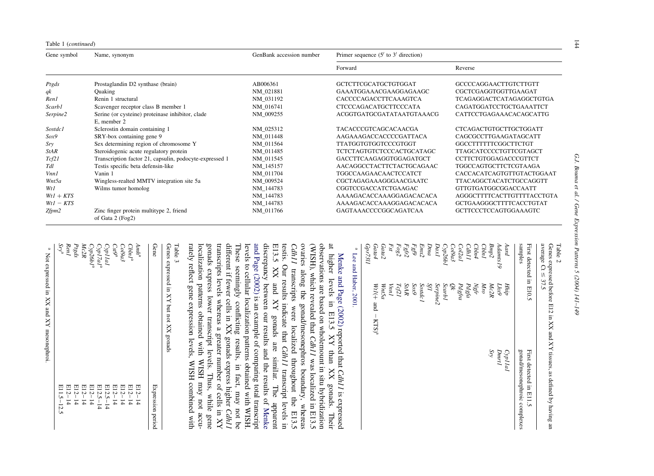<span id="page-3-0"></span>

| Table 1 (continued) |                                                             |                          |                                          |                                 |
|---------------------|-------------------------------------------------------------|--------------------------|------------------------------------------|---------------------------------|
| Gene symbol         | Name, synonym                                               | GenBank accession number | Primer sequence $(5'$ to $3'$ direction) |                                 |
|                     |                                                             |                          | Forward                                  | Reverse                         |
| Ptgds               | Prostaglandin D2 synthase (brain)                           | AB006361                 | GCTCTTCGCATGCTGTGGAT                     | <b>GCCCCAGGAACTTGTCTTGTT</b>    |
| $q$ k               | Quaking                                                     | NM 021881                | GAAATGGAAACGAAGGAGAAGC                   | CGCTCGAGGTGGTTGAAGAT            |
| Ren1                | Renin 1 structural                                          | NM 031192                | CACCCCAGACCTTCAAAGTCA                    | <b>TCAGAGGACTCATAGAGGCTGTGA</b> |
| <i>Scarb1</i>       | Scavenger receptor class B member 1                         | NM 016741                | CTCCCAGACATGCTTCCCATA                    | CAGATGGATCCTGCTGAAATTCT         |
| Serpine2            | Serine (or cysteine) proteinase inhibitor, clade            | NM 009255                | ACGGTGATGCGATATAATGTAAACG                | CATTCCTGAGAAACACAGCATTG         |
|                     | E, member 2                                                 |                          |                                          |                                 |
| Sostdc1             | Sclerostin domain containing 1                              | NM_025312                | <b>TACACCCGTCAGCACAACGA</b>              | <b>CTCAGACTGTGCTTGCTGGATT</b>   |
| Sox9                | SRY-box containing gene 9                                   | NM 011448                | AAGAAAGACCACCCCGATTACA                   | CAGCGCCTTGAAGATAGCATT           |
| Sry                 | Sex determining region of chromosome Y                      | NM_011564                | <b>TTATGGTGTGGTCCCGTGGT</b>              | GGCCTTTTTTCGGCTTCTGT            |
| <b>StAR</b>         | Steroidogenic acute regulatory protein                      | NM 011485                | <b>TCTCTAGTGTCTCCCACTGCATAGC</b>         | <b>TTAGCATCCCCTGTTCGTAGCT</b>   |
| Tcf21               | Transcription factor 21, capsulin, podocyte-expressed 1     | NM 011545                | GACCTTCAAGAGGTGGAGATGCT                  | <b>CCTTCTGTGGAGACCCGTTCT</b>    |
| Tdl                 | Testis specific beta defensin-like                          | NM 145157                | AACAGGCCTACTTCTACTGCAGAAC                | <b>TGGCCAGTGCTTCTCGTAAGA</b>    |
| Vnn1                | Vanin 1                                                     | NM 011704                | <b>TGGCCAAGAACAACTCCATCT</b>             | CACCACATCAGTGTTGTACTGGAAT       |
| Wnt5a               | Wingless-realted MMTV integration site 5a                   | NM 009524                | CGCTAGAGAAAGGGAACGAATC                   | <b>TTACAGGCTACATCTGCCAGGTT</b>  |
| Wt1                 | Wilms tumor homolog                                         | NM 144783                | CGGTCCGACCATCTGAAGAC                     | GTTGTGATGGCGGACCAATT            |
| $WtI + KTS$         |                                                             | NM 144783                | AAAAGACACCAAAGGAGACACACA                 | AGGGCTTTTCACTTGTTTTACCTGTA      |
| $WtI - KTS$         |                                                             | NM_144783                | AAAAGACACCAAAGGAGACACACA                 | GCTGAAGGGCTTTTCACCTGTAT         |
| $Z$ fpm $2$         | Zinc finger protein multitype 2, friend<br>of Gata 2 (Fog2) | NM_011766                | GAGTAAACCCCGGCAGATCAA                    | <b>GCTTCCCTCCAGTGGAAAGTC</b>    |

| ì                                                          |
|------------------------------------------------------------|
| ī                                                          |
|                                                            |
|                                                            |
|                                                            |
|                                                            |
|                                                            |
|                                                            |
|                                                            |
|                                                            |
|                                                            |
|                                                            |
|                                                            |
|                                                            |
|                                                            |
|                                                            |
|                                                            |
|                                                            |
|                                                            |
|                                                            |
|                                                            |
|                                                            |
|                                                            |
|                                                            |
|                                                            |
|                                                            |
|                                                            |
|                                                            |
|                                                            |
|                                                            |
|                                                            |
|                                                            |
|                                                            |
|                                                            |
| $\ddot{\cdot}$                                             |
| G I                                                        |
| j                                                          |
|                                                            |
|                                                            |
|                                                            |
|                                                            |
|                                                            |
|                                                            |
|                                                            |
| í                                                          |
|                                                            |
|                                                            |
| Į                                                          |
|                                                            |
|                                                            |
|                                                            |
| ï                                                          |
|                                                            |
|                                                            |
|                                                            |
|                                                            |
|                                                            |
|                                                            |
|                                                            |
| J                                                          |
|                                                            |
|                                                            |
|                                                            |
|                                                            |
|                                                            |
|                                                            |
| Ì                                                          |
|                                                            |
|                                                            |
|                                                            |
|                                                            |
|                                                            |
|                                                            |
| $\ddot{\phantom{0}}$                                       |
|                                                            |
|                                                            |
|                                                            |
| Bound et al. / Gene Expression Patterns 5 (2004) $141-149$ |
|                                                            |

| -verage $Ct \leq 37.5$ | Genes expressed before E12 in XX and XY tissues, as defined by having an |  |
|------------------------|--------------------------------------------------------------------------|--|
|                        |                                                                          |  |
|                        |                                                                          |  |
|                        |                                                                          |  |
|                        |                                                                          |  |
|                        |                                                                          |  |
|                        |                                                                          |  |
|                        |                                                                          |  |
|                        |                                                                          |  |
|                        |                                                                          |  |
|                        |                                                                          |  |
|                        |                                                                          |  |
|                        |                                                                          |  |
|                        |                                                                          |  |
|                        |                                                                          |  |
|                        |                                                                          |  |

| מיטים ⊃יט טבייט         |                                  |                              |
|-------------------------|----------------------------------|------------------------------|
| First deceed in E10.5   |                                  | First deceed in E11.5        |
| sanples                 |                                  | gonad/mesonephroic complexes |
| Aard                    | Hhip                             | CypIIal                      |
| Adamts19                | Lhx9                             | <b>Dmrl</b>                  |
| Bmp2                    | Mc2R                             | $S\mathcal{D}$               |
| <b>Cbln1</b>            | Mro                              |                              |
| Cbln4                   | Ngfr                             |                              |
| <b>Cdh<sub>11</sub></b> | Pdgfa                            |                              |
| Col2al                  | Pdgfra                           |                              |
| $\mathcal{C}$ ol $9a3$  | Šk                               |                              |
| <b>Cyp26b1</b>          | ScarbI                           |                              |
| $_{D\alpha xI}$         | Serpine <sub>2</sub>             |                              |
| Dtna                    | ЯI                               |                              |
| Emx2                    | <b>Sostdc1</b>                   |                              |
| $Fg\mathcal{P}$         | $S\alpha x$ 9                    |                              |
| $Fgfr2$                 | StAR                             |                              |
| Fog2                    | Tef21                            |                              |
| Fst                     | $VmI$                            |                              |
| Gata <sub>2</sub>       | WntSa                            |                              |
| Gard                    | $W1(+$ and $-$ KTS) <sup>a</sup> |                              |
| Gpr7311                 |                                  |                              |
| p                       | Lee and Haber, 2001.             |                              |
|                         |                                  |                              |

gonads express lower transcript levels. Thus, while gene localization patterns obtained with WISH may not accurately reflect gene expression levels, WISH combined with transcripts levels whereas a greater number of cells in XY These seemingly conflicting results, in fact, may not be different if fewer cells in  $XX$  gonads express higher  $Cdh1$ ovaries along the gonad/mesonephros boundary, whereas<br> $Cdh11$  transcripts were localized throughout the E13.5 (WISH), which revealed that Cdh11 was localized in E13.5 rately reflect gene expression levels, WISH combined with localization patterns obtained with WISH may not accugonads express lower transcript levels. Thus, while gene transcripts levels whereas a greater number of cells in XY different if fewer cells in XX gonads express higher These seemingly conflicting results, in fact, may not be levels to cellular localization patterns obtained with WISH. [and Page \(2002\)](#page-8-0) discrepancy between our results and the results of E13.5 XX and XY gonads are similar. The apparent testis. Our results indicate that ovaries along the gonad/mesonephros boundary, whereas (WISH), which revealed that observations are based on wholemount in situ hybridization at higher levels in E13.5 XY than XX gonads. Their [Menke and Page \(2002\)](#page-8-0) transcripts were localized throughout the E13.5 is an example of comparing total transcript reported that Cdh<sub>11</sub> was localized in E13.5 transcript levels in Cdh<sub>11</sub> is expressed [Menke](#page-8-0)

Genes expressed in XY but not XX gonads Table 3<br>Senesse in XY but not XX gonads

| Gene                                                |              | <b>Expression</b> period |
|-----------------------------------------------------|--------------|--------------------------|
| $Amh^a$                                             | $E12-14$     |                          |
| Chln I <sup>a</sup>                                 | $E12-14$     |                          |
| $\mathit{Col9a3}$                                   | $E12 - 14$   |                          |
| $\mathcal{C}st\mathcal{G}^a$                        | $E12-14$     |                          |
| $CypIId$                                            | $E12.5 - 14$ |                          |
| $C\!\!\!\gamma p I7aI^{\rm a}$                      | $E12.5 - 14$ |                          |
| $\mathcal{C}\gamma p26bl^{\rm a}$                   | $E12 - 14$   |                          |
| Mc2R                                                | $E12 - 14$   |                          |
| $\mathcal{P} \mathcal{I} \mathcal{S} d \mathcal{S}$ | $E12-14$     |                          |
| $\mathit{Reml}$                                     | $E12 - 14$   |                          |
| $S\mathcal{P}^\mathit{a}$                           | E11.5-12.5   |                          |
| a Not averaced in VV and VV maconanheoi             |              |                          |

Not expressed in XX and XY mesonephroi. Not expressed in XX and XY mesonephroi.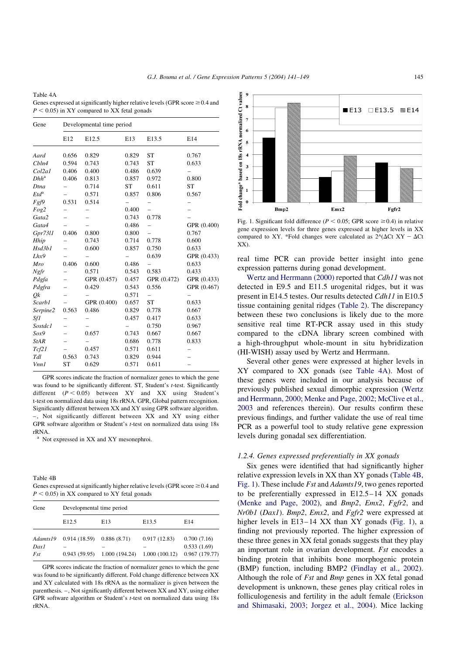<span id="page-4-0"></span>Table 4A Genes expressed at significantly higher relative levels (GPR score  $\geq 0.4$  and  $P < 0.05$ ) in XY compared to XX fetal gonads

| Gene        | Developmental time period |             |           |                          |             |
|-------------|---------------------------|-------------|-----------|--------------------------|-------------|
|             | E12                       | E12.5       | E13       | E13.5                    | E14         |
| Aard        | 0.656                     | 0.829       | 0.829     | <b>ST</b>                | 0.767       |
| Cbln4       | 0.594                     | 0.743       | 0.743     | <b>ST</b>                | 0.633       |
| Col2a1      | 0.406                     | 0.400       | 0.486     | 0.639                    |             |
| $Dhh^a$     | 0.406                     | 0.813       | 0.857     | 0.972                    | 0.800       |
| Dtna        |                           | 0.714       | <b>ST</b> | 0.611                    | <b>ST</b>   |
| $Etd^a$     |                           | 0.571       | 0.857     | 0.806                    | 0.567       |
| Fgf9        | 0.531                     | 0.514       |           |                          |             |
| Fog2        |                           |             | 0.400     | $\overline{\phantom{0}}$ |             |
| Gata2       |                           |             | 0.743     | 0.778                    |             |
| Gata4       |                           |             | 0.486     |                          | GPR (0.400) |
| Gpr7311     | 0.406                     | 0.800       | 0.800     |                          | 0.767       |
| Hhip        |                           | 0.743       | 0.714     | 0.778                    | 0.600       |
| Hsd3b1      |                           | 0.600       | 0.857     | 0.750                    | 0.633       |
| Lhx9        |                           |             |           | 0.639                    | GPR (0.433) |
| Mro         | 0.406                     | 0.600       | 0.486     | $\overline{\phantom{0}}$ | 0.633       |
| Ngfr        |                           | 0.571       | 0.543     | 0.583                    | 0.433       |
| Pdgfa       |                           | GPR (0.457) | 0.457     | GPR (0.472)              | GPR (0.433) |
| Pdgfra      |                           | 0.429       | 0.543     | 0.556                    | GPR (0.467) |
| Оk          |                           |             | 0.571     |                          |             |
| Scarb1      |                           | GPR (0.400) | 0.657     | <b>ST</b>                | 0.633       |
| Serpine2    | 0.563                     | 0.486       | 0.829     | 0.778                    | 0.667       |
| Sf1         |                           |             | 0.457     | 0.417                    | 0.633       |
| Sostdc1     |                           |             |           | 0.750                    | 0.967       |
| Sox9        |                           | 0.657       | 0.743     | 0.667                    | 0.667       |
| <b>StAR</b> |                           |             | 0.686     | 0.778                    | 0.833       |
| Tcf21       |                           | 0.457       | 0.571     | 0.611                    |             |
| Tdl         | 0.563                     | 0.743       | 0.829     | 0.944                    |             |
| Vnn1        | <b>ST</b>                 | 0.629       | 0.571     | 0.611                    |             |

GPR scores indicate the fraction of normalizer genes to which the gene was found to be significantly different. ST, Student's t-test. Significantly different  $(P < 0.05)$  between XY and XX using Student's t-test on normalized data using 18s rRNA. GPR, Global pattern recognition. Significantly different between XX and XY using GPR software algorithm. – , Not significantly different between XX and XY using either GPR software algorithm or Student's t-test on normalized data using 18s rRNA.

<sup>a</sup> Not expressed in XX and XY mesonephroi.

| Table 4B                                                                          |
|-----------------------------------------------------------------------------------|
| Genes expressed at significantly higher relative levels (GPR score $\geq 0.4$ and |
| $P < 0.05$ in XX compared to XY fetal gonads                                      |

| Gene        | Developmental time period |               |                   |                              |  |
|-------------|---------------------------|---------------|-------------------|------------------------------|--|
|             | E <sub>12.5</sub>         | E13           | E <sub>13.5</sub> | E14                          |  |
| Adamts19    | 0.914(18.59)              | 0.886(8.71)   | 0.917(12.83)      | 0.700(7.16)                  |  |
| Dax1<br>Fst | 0.943(59.95)              | 1.000(194.24) | 1.000(100.12)     | 0.533(1.69)<br>0.967(179.77) |  |

GPR scores indicate the fraction of normalizer genes to which the gene was found to be significantly different. Fold change difference between XX and XY calculated with 18s rRNA as the normalizer is given between the parenthesis. –, Not significantly different between XX and XY, using either GPR software algorithm or Student's t-test on normalized data using 18s rRNA.



Fig. 1. Significant fold difference ( $P < 0.05$ ; GPR score  $\ge 0.4$ ) in relative gene expression levels for three genes expressed at higher levels in XX compared to XY. \*Fold changes were calculated as  $2^{\wedge}(\Delta \text{Ct} XY - \Delta \text{Ct}$ XX).

real time PCR can provide better insight into gene expression patterns during gonad development.

[Wertz and Herrmann \(2000\)](#page-8-0) reported that Cdh11 was not detected in E9.5 and E11.5 urogenital ridges, but it was present in E14.5 testes. Our results detected Cdh11 in E10.5 tissue containing genital ridges [\(Table 2](#page-3-0)). The discrepancy between these two conclusions is likely due to the more sensitive real time RT-PCR assay used in this study compared to the cDNA library screen combined with a high-throughput whole-mount in situ hybridization (HI-WISH) assay used by Wertz and Herrmann.

Several other genes were expressed at higher levels in XY compared to XX gonads (see Table 4A). Most of these genes were included in our analysis because of previously published sexual dimorphic expression [\(Wertz](#page-8-0) [and Herrmann, 2000; Menke and Page, 2002; McClive et al.,](#page-8-0) [2003](#page-8-0) and references therein). Our results confirm these previous findings, and further validate the use of real time PCR as a powerful tool to study relative gene expression levels during gonadal sex differentiation.

# 1.2.4. Genes expressed preferentially in XX gonads

Six genes were identified that had significantly higher relative expression levels in XX than XY gonads (Table 4B, Fig. 1). These include Fst and Adamts19, two genes reported to be preferentially expressed in E12.5–14 XX gonads ([Menke and Page, 2002](#page-8-0)), and Bmp2, Emx2, Fgfr2, and Nr0b1 (Dax1). Bmp2, Emx2, and Fgfr2 were expressed at higher levels in E13-14 XX than XY gonads (Fig. 1), a finding not previously reported. The higher expression of these three genes in XX fetal gonads suggests that they play an important role in ovarian development. *Fst* encodes a binding protein that inhibits bone morphogenic protein (BMP) function, including BMP2 ([Findlay et al., 2002\)](#page-8-0). Although the role of Fst and Bmp genes in XX fetal gonad development is unknown, these genes play critical roles in folliculogenesis and fertility in the adult female [\(Erickson](#page-8-0) [and Shimasaki, 2003; Jorgez et al., 2004\)](#page-8-0). Mice lacking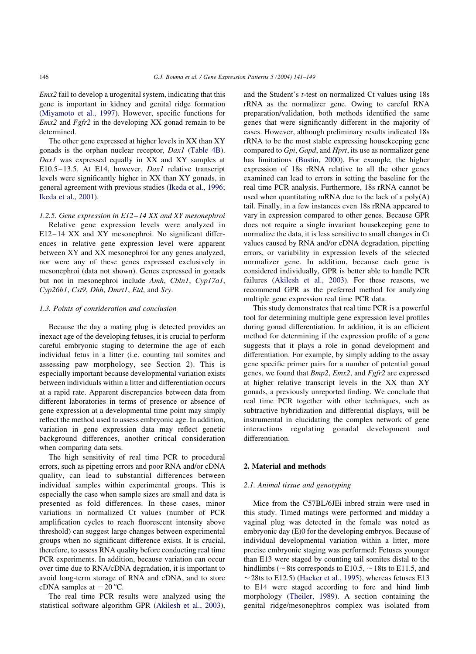Emx2 fail to develop a urogenital system, indicating that this gene is important in kidney and genital ridge formation ([Miyamoto et al., 1997](#page-8-0)). However, specific functions for  $Emx2$  and  $Fgfr2$  in the developing XX gonad remain to be determined.

The other gene expressed at higher levels in XX than XY gonads is the orphan nuclear receptor, Dax1 [\(Table 4B\)](#page-4-0). Dax1 was expressed equally in XX and XY samples at E10.5–13.5. At E14, however, Dax1 relative transcript levels were significantly higher in XX than XY gonads, in general agreement with previous studies ([Ikeda et al., 1996;](#page-8-0) [Ikeda et al., 2001](#page-8-0)).

## 1.2.5. Gene expression in E12–14 XX and XY mesonephroi

Relative gene expression levels were analyzed in E12–14 XX and XY mesonephroi. No significant differences in relative gene expression level were apparent between XY and XX mesonephroi for any genes analyzed, nor were any of these genes expressed exclusively in mesonephroi (data not shown). Genes expressed in gonads but not in mesonephroi include Amh, Cbln1, Cyp17a1, Cyp26b1, Cst9, Dhh, Dmrt1, Etd, and Sry.

#### 1.3. Points of consideration and conclusion

Because the day a mating plug is detected provides an inexact age of the developing fetuses, it is crucial to perform careful embryonic staging to determine the age of each individual fetus in a litter (i.e. counting tail somites and assessing paw morphology, see Section 2). This is especially important because developmental variation exists between individuals within a litter and differentiation occurs at a rapid rate. Apparent discrepancies between data from different laboratories in terms of presence or absence of gene expression at a developmental time point may simply reflect the method used to assess embryonic age. In addition, variation in gene expression data may reflect genetic background differences, another critical consideration when comparing data sets.

The high sensitivity of real time PCR to procedural errors, such as pipetting errors and poor RNA and/or cDNA quality, can lead to substantial differences between individual samples within experimental groups. This is especially the case when sample sizes are small and data is presented as fold differences. In these cases, minor variations in normalized Ct values (number of PCR amplification cycles to reach fluorescent intensity above threshold) can suggest large changes between experimental groups when no significant difference exists. It is crucial, therefore, to assess RNA quality before conducting real time PCR experiments. In addition, because variation can occur over time due to RNA/cDNA degradation, it is important to avoid long-term storage of RNA and cDNA, and to store cDNA samples at  $-20$  °C.

The real time PCR results were analyzed using the statistical software algorithm GPR [\(Akilesh et al., 2003\)](#page-7-0),

and the Student's t-test on normalized Ct values using 18s rRNA as the normalizer gene. Owing to careful RNA preparation/validation, both methods identified the same genes that were significantly different in the majority of cases. However, although preliminary results indicated 18s rRNA to be the most stable expressing housekeeping gene compared to Gpi, Gapd, and Hprt, its use as normalizer gene has limitations ([Bustin, 2000\)](#page-8-0). For example, the higher expression of 18s rRNA relative to all the other genes examined can lead to errors in setting the baseline for the real time PCR analysis. Furthermore, 18s rRNA cannot be used when quantitating mRNA due to the lack of a  $poly(A)$ tail. Finally, in a few instances even 18s rRNA appeared to vary in expression compared to other genes. Because GPR does not require a single invariant housekeeping gene to normalize the data, it is less sensitive to small changes in Ct values caused by RNA and/or cDNA degradation, pipetting errors, or variability in expression levels of the selected normalizer gene. In addition, because each gene is considered individually, GPR is better able to handle PCR failures [\(Akilesh et al., 2003](#page-7-0)). For these reasons, we recommend GPR as the preferred method for analyzing multiple gene expression real time PCR data.

This study demonstrates that real time PCR is a powerful tool for determining multiple gene expression level profiles during gonad differentiation. In addition, it is an efficient method for determining if the expression profile of a gene suggests that it plays a role in gonad development and differentiation. For example, by simply adding to the assay gene specific primer pairs for a number of potential gonad genes, we found that Bmp2, Emx2, and Fgfr2 are expressed at higher relative transcript levels in the XX than XY gonads, a previously unreported finding. We conclude that real time PCR together with other techniques, such as subtractive hybridization and differential displays, will be instrumental in elucidating the complex network of gene interactions regulating gonadal development and differentiation.

## 2. Material and methods

#### 2.1. Animal tissue and genotyping

Mice from the C57BL/6JEi inbred strain were used in this study. Timed matings were performed and midday a vaginal plug was detected in the female was noted as embryonic day (E)0 for the developing embryos. Because of individual developmental variation within a litter, more precise embryonic staging was performed: Fetuses younger than E13 were staged by counting tail somites distal to the hindlimbs ( $\sim$ 8ts corresponds to E10.5,  $\sim$  18ts to E11.5, and  $\sim$  28ts to E12.5) ([Hacker et al., 1995](#page-8-0)), whereas fetuses E13 to E14 were staged according to fore and hind limb morphology ([Theiler, 1989\)](#page-8-0). A section containing the genital ridge/mesonephros complex was isolated from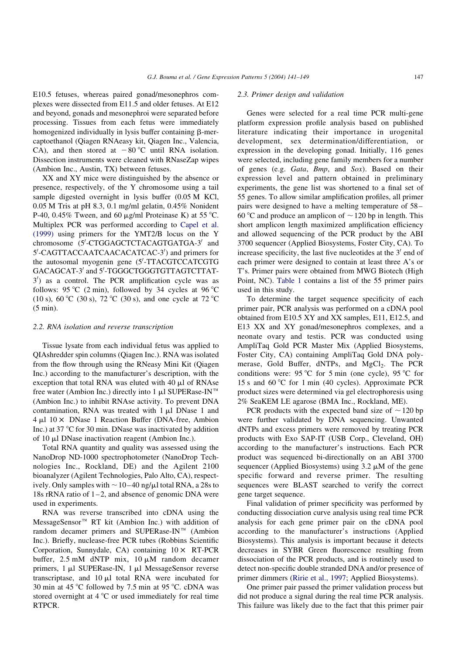E10.5 fetuses, whereas paired gonad/mesonephros complexes were dissected from E11.5 and older fetuses. At E12 and beyond, gonads and mesonephroi were separated before processing. Tissues from each fetus were immediately homogenized individually in lysis buffer containing  $\beta$ -mercaptoethanol (Qiagen RNAeasy kit, Qiagen Inc., Valencia, CA), and then stored at  $-80^{\circ}$ C until RNA isolation. Dissection instruments were cleaned with RNaseZap wipes (Ambion Inc., Austin, TX) between fetuses.

XX and XY mice were distinguished by the absence or presence, respectively, of the Y chromosome using a tail sample digested overnight in lysis buffer (0.05 M KCl, 0.05 M Tris at pH 8.3, 0.1 mg/ml gelatin, 0.45% Nonident P-40, 0.45% Tween, and 60  $\mu$ g/ml Proteinase K) at 55 °C. Multiplex PCR was performed according to [Capel et al.](#page-8-0) [\(1999\)](#page-8-0) using primers for the YMT2/B locus on the Y chromosome (5'-CTGGAGCTCTACAGTGATGA-3' and 5'-CAGTTACCAATCAACACATCAC-3') and primers for the autosomal myogenin gene (5'-TTACGTCCATCGTG GACAGCAT-3' and 5'-TGGGCTGGGTGTTAGTCTTAT- $3'$ ) as a control. The PCR amplification cycle was as follows: 95 °C (2 min), followed by 34 cycles at 96 °C (10 s), 60 °C (30 s), 72 °C (30 s), and one cycle at 72 °C (5 min).

## 2.2. RNA isolation and reverse transcription

Tissue lysate from each individual fetus was applied to QIAshredder spin columns (Qiagen Inc.). RNA was isolated from the flow through using the RNeasy Mini Kit (Qiagen Inc.) according to the manufacturer's description, with the exception that total RNA was eluted with  $40 \mu l$  of RNAse free water (Ambion Inc.) directly into 1  $\mu$ l SUPERase-IN<sup>™</sup> (Ambion Inc.) to inhibit RNAse activity. To prevent DNA contamination, RNA was treated with  $1 \mu 1$  DNase 1 and  $4 \mu$ l 10  $\times$  DNase 1 Reaction Buffer (DNA-free, Ambion Inc.) at 37  $\degree$ C for 30 min. DNase was inactivated by addition of 10 ml DNase inactivation reagent (Ambion Inc.).

Total RNA quantity and quality was assessed using the NanoDrop ND-1000 spectrophotometer (NanoDrop Technologies Inc., Rockland, DE) and the Agilent 2100 bioanalyzer (Agilent Technologies, Palo Alto, CA), respectively. Only samples with  $\sim$  10–40 ng/ $\mu$ l total RNA, a 28s to 18s rRNA ratio of  $1-2$ , and absence of genomic DNA were used in experiments.

RNA was reverse transcribed into cDNA using the  $MessageSensor^M$  RT kit (Ambion Inc.) with addition of random decamer primers and SUPERase-IN $^{\text{TM}}$  (Ambion Inc.). Briefly, nuclease-free PCR tubes (Robbins Scientific Corporation, Sunnydale, CA) containing  $10 \times RT$ -PCR buffer,  $2.5 \text{ mM}$  dNTP mix,  $10 \mu \text{M}$  random decamer primers,  $1 \mu l$  SUPERase-IN,  $1 \mu l$  MessageSensor reverse transcriptase, and  $10 \mu l$  total RNA were incubated for 30 min at 45  $\degree$ C followed by 7.5 min at 95  $\degree$ C. cDNA was stored overnight at  $4^{\circ}$ C or used immediately for real time RTPCR.

## 2.3. Primer design and validation

Genes were selected for a real time PCR multi-gene platform expression profile analysis based on published literature indicating their importance in urogenital development, sex determination/differentiation, or expression in the developing gonad. Initially, 116 genes were selected, including gene family members for a number of genes (e.g. Gata, Bmp, and Sox). Based on their expression level and pattern obtained in preliminary experiments, the gene list was shortened to a final set of 55 genes. To allow similar amplification profiles, all primer pairs were designed to have a melting temperature of 58– 60 °C and produce an amplicon of  $\sim$  120 bp in length. This short amplicon length maximized amplification efficiency and allowed sequencing of the PCR product by the ABI 3700 sequencer (Applied Biosystems, Foster City, CA). To increase specificity, the last five nucleotides at the  $3'$  end of each primer were designed to contain at least three A's or T's. Primer pairs were obtained from MWG Biotech (High Point, NC). [Table 1](#page-2-0) contains a list of the 55 primer pairs used in this study.

To determine the target sequence specificity of each primer pair, PCR analysis was performed on a cDNA pool obtained from E10.5 XY and XX samples, E11, E12.5, and E13 XX and XY gonad/mesonephros complexes, and a neonate ovary and testis. PCR was conducted using AmpliTaq Gold PCR Master Mix (Applied Biosystems, Foster City, CA) containing AmpliTaq Gold DNA polymerase, Gold Buffer, dNTPs, and MgCl<sub>2</sub>. The PCR conditions were: 95 °C for 5 min (one cycle), 95 °C for 15 s and 60 °C for 1 min (40 cycles). Approximate PCR product sizes were determined via gel electrophoresis using 2% SeaKEM LE agarose (BMA Inc., Rockland, ME).

PCR products with the expected band size of  $\sim$  120 bp were further validated by DNA sequencing. Unwanted dNTPs and excess primers were removed by treating PCR products with Exo SAP-IT (USB Corp., Cleveland, OH) according to the manufacturer's instructions. Each PCR product was sequenced bi-directionally on an ABI 3700 sequencer (Applied Biosystems) using  $3.2 \mu M$  of the gene specific forward and reverse primer. The resulting sequences were BLAST searched to verify the correct gene target sequence.

Final validation of primer specificity was performed by conducting dissociation curve analysis using real time PCR analysis for each gene primer pair on the cDNA pool according to the manufacturer's instructions (Applied Biosystems). This analysis is important because it detects decreases in SYBR Green fluorescence resulting from dissociation of the PCR products, and is routinely used to detect non-specific double stranded DNA and/or presence of primer dimmers ([Ririe et al., 1997](#page-8-0); Applied Biosystems).

One primer pair passed the primer validation process but did not produce a signal during the real time PCR analysis. This failure was likely due to the fact that this primer pair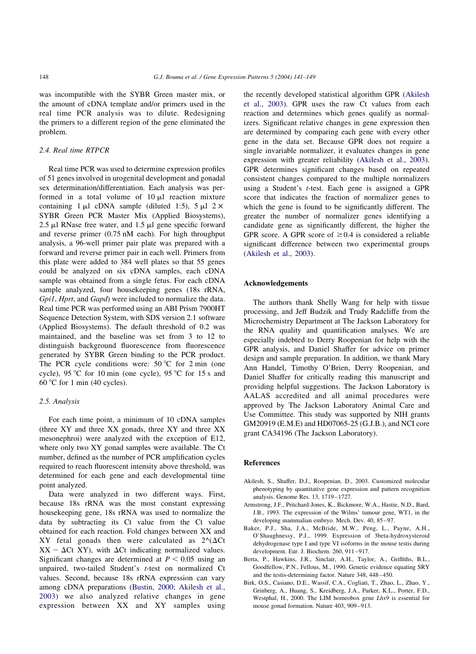<span id="page-7-0"></span>was incompatible with the SYBR Green master mix, or the amount of cDNA template and/or primers used in the real time PCR analysis was to dilute. Redesigning the primers to a different region of the gene eliminated the problem.

# 2.4. Real time RTPCR

Real time PCR was used to determine expression profiles of 51 genes involved in urogenital development and gonadal sex determination/differentiation. Each analysis was performed in a total volume of  $10 \mu l$  reaction mixture containing 1  $\mu$ l cDNA sample (diluted 1:5), 5  $\mu$ l 2  $\times$ SYBR Green PCR Master Mix (Applied Biosystems), 2.5  $\mu$ l RNase free water, and 1.5  $\mu$ l gene specific forward and reverse primer (0.75 nM each). For high throughput analysis, a 96-well primer pair plate was prepared with a forward and reverse primer pair in each well. Primers from this plate were added to 384 well plates so that 55 genes could be analyzed on six cDNA samples, each cDNA sample was obtained from a single fetus. For each cDNA sample analyzed, four housekeeping genes (18s rRNA, Gpi1, Hprt, and Gapd) were included to normalize the data. Real time PCR was performed using an ABI Prism 7900HT Sequence Detection System, with SDS version 2.1 software (Applied Biosystems). The default threshold of 0.2 was maintained, and the baseline was set from 3 to 12 to distinguish background fluorescence from fluorescence generated by SYBR Green binding to the PCR product. The PCR cycle conditions were:  $50^{\circ}$ C for  $2 \text{ min}$  (one cycle), 95 °C for 10 min (one cycle), 95 °C for 15 s and  $60^{\circ}$ C for 1 min (40 cycles).

#### 2.5. Analysis

For each time point, a minimum of 10 cDNA samples (three XY and three XX gonads, three XY and three XX mesonephroi) were analyzed with the exception of E12, where only two XY gonad samples were available. The Ct number, defined as the number of PCR amplification cycles required to reach fluorescent intensity above threshold, was determined for each gene and each developmental time point analyzed.

Data were analyzed in two different ways. First, because 18s rRNA was the most constant expressing housekeeping gene, 18s rRNA was used to normalize the data by subtracting its Ct value from the Ct value obtained for each reaction. Fold changes between XX and XY fetal gonads then were calculated as  $2^{\Lambda}(\Delta\text{C}t)$  $XX - \Delta Ct$  XY), with  $\Delta Ct$  indicating normalized values. Significant changes are determined at  $P < 0.05$  using an unpaired, two-tailed Student's t-test on normalized Ct values. Second, because 18s rRNA expression can vary among cDNA preparations ([Bustin, 2000; Akilesh et al.,](#page-8-0) [2003\)](#page-8-0) we also analyzed relative changes in gene expression between XX and XY samples using

the recently developed statistical algorithm GPR (Akilesh et al., 2003). GPR uses the raw Ct values from each reaction and determines which genes qualify as normalizers. Significant relative changes in gene expression then are determined by comparing each gene with every other gene in the data set. Because GPR does not require a single invariable normalizer, it evaluates changes in gene expression with greater reliability (Akilesh et al., 2003). GPR determines significant changes based on repeated consistent changes compared to the multiple normalizers using a Student's t-test. Each gene is assigned a GPR score that indicates the fraction of normalizer genes to which the gene is found to be significantly different. The greater the number of normalizer genes identifying a candidate gene as significantly different, the higher the GPR score. A GPR score of  $\geq 0.4$  is considered a reliable significant difference between two experimental groups (Akilesh et al., 2003).

## Acknowledgements

The authors thank Shelly Wang for help with tissue processing, and Jeff Budzik and Trudy Radcliffe from the Microchemistry Department at The Jackson Laboratory for the RNA quality and quantification analyses. We are especially indebted to Derry Roopenian for help with the GPR analysis, and Daniel Shaffer for advice on primer design and sample preparation. In addition, we thank Mary Ann Handel, Timothy O'Brien, Derry Roopenian, and Daniel Shaffer for critically reading this manuscript and providing helpful suggestions. The Jackson Laboratory is AALAS accredited and all animal procedures were approved by The Jackson Laboratory Animal Care and Use Committee. This study was supported by NIH grants GM20919 (E.M.E) and HD07065-25 (G.J.B.), and NCI core grant CA34196 (The Jackson Laboratory).

# **References**

- Akilesh, S., Shaffer, D.J., Roopenian, D., 2003. Customized molecular phenotyping by quantitative gene expression and pattern recognition analysis. Genome Res. 13, 1719–1727.
- Armstrong, J.F., Pritchard-Jones, K., Bickmore, W.A., Hastie, N.D., Bard, J.B., 1993. The expression of the Wilms' tumour gene, WT1, in the developing mammalian embryo. Mech. Dev. 40, 85–97.
- Baker, P.J., Sha, J.A., McBride, M.W., Peng, L., Payne, A.H., O'Shaughnessy, P.J., 1999. Expression of 3beta-hydroxysteroid dehydrogenase type I and type VI isoforms in the mouse testis during development. Eur. J. Biochem. 260, 911–917.
- Berta, P., Hawkins, J.R., Sinclair, A.H., Taylor, A., Griffiths, B.L., Goodfellow, P.N., Fellous, M., 1990. Genetic evidence equating SRY and the testis-determining factor. Nature 348, 448–450.
- Birk, O.S., Casiano, D.E., Wassif, C.A., Cogliati, T., Zhao, L., Zhao, Y., Grinberg, A., Huang, S., Kreidberg, J.A., Parker, K.L., Porter, F.D., Westphal, H., 2000. The LIM homeobox gene Lhx9 is essential for mouse gonad formation. Nature 403, 909–913.